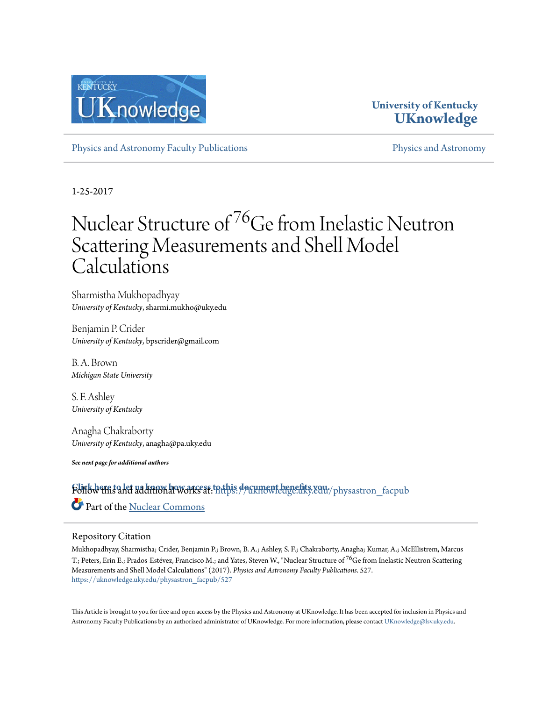

## **University of Kentucky [UKnowledge](https://uknowledge.uky.edu?utm_source=uknowledge.uky.edu%2Fphysastron_facpub%2F527&utm_medium=PDF&utm_campaign=PDFCoverPages)**

[Physics and Astronomy Faculty Publications](https://uknowledge.uky.edu/physastron_facpub?utm_source=uknowledge.uky.edu%2Fphysastron_facpub%2F527&utm_medium=PDF&utm_campaign=PDFCoverPages) **[Physics and Astronomy](https://uknowledge.uky.edu/physastron?utm_source=uknowledge.uky.edu%2Fphysastron_facpub%2F527&utm_medium=PDF&utm_campaign=PDFCoverPages)** Physics and Astronomy

1-25-2017

# Nuclear Structure of <sup>76</sup>Ge from Inelastic Neutron Scattering Measurements and Shell Model Calculations

Sharmistha Mukhopadhyay *University of Kentucky*, sharmi.mukho@uky.edu

Benjamin P. Crider *University of Kentucky*, bpscrider@gmail.com

B. A. Brown *Michigan State University*

S. F. Ashley *University of Kentucky*

Anagha Chakraborty *University of Kentucky*, anagha@pa.uky.edu

*See next page for additional authors*

**[Click here to let us know how access to this document benefits you.](https://uky.az1.qualtrics.com/jfe/form/SV_9mq8fx2GnONRfz7)** Follow this and additional works at: [https://uknowledge.uky.edu/physastron\\_facpub](https://uknowledge.uky.edu/physastron_facpub?utm_source=uknowledge.uky.edu%2Fphysastron_facpub%2F527&utm_medium=PDF&utm_campaign=PDFCoverPages) Part of the [Nuclear Commons](http://network.bepress.com/hgg/discipline/203?utm_source=uknowledge.uky.edu%2Fphysastron_facpub%2F527&utm_medium=PDF&utm_campaign=PDFCoverPages)

#### Repository Citation

Mukhopadhyay, Sharmistha; Crider, Benjamin P.; Brown, B. A.; Ashley, S. F.; Chakraborty, Anagha; Kumar, A.; McEllistrem, Marcus T.; Peters, Erin E.; Prados-Estévez, Francisco M.; and Yates, Steven W., "Nuclear Structure of <sup>76</sup>Ge from Inelastic Neutron Scattering Measurements and Shell Model Calculations" (2017). *Physics and Astronomy Faculty Publications*. 527. [https://uknowledge.uky.edu/physastron\\_facpub/527](https://uknowledge.uky.edu/physastron_facpub/527?utm_source=uknowledge.uky.edu%2Fphysastron_facpub%2F527&utm_medium=PDF&utm_campaign=PDFCoverPages)

This Article is brought to you for free and open access by the Physics and Astronomy at UKnowledge. It has been accepted for inclusion in Physics and Astronomy Faculty Publications by an authorized administrator of UKnowledge. For more information, please contact [UKnowledge@lsv.uky.edu.](mailto:UKnowledge@lsv.uky.edu)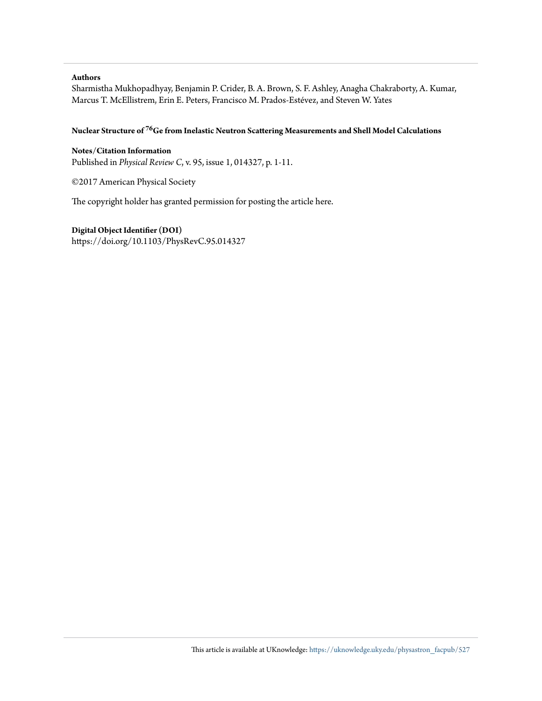#### **Authors**

Sharmistha Mukhopadhyay, Benjamin P. Crider, B. A. Brown, S. F. Ashley, Anagha Chakraborty, A. Kumar, Marcus T. McEllistrem, Erin E. Peters, Francisco M. Prados-Estévez, and Steven W. Yates

#### **Nuclear Structure of <sup>76</sup>Ge from Inelastic Neutron Scattering Measurements and Shell Model Calculations**

**Notes/Citation Information** Published in *Physical Review C*, v. 95, issue 1, 014327, p. 1-11.

©2017 American Physical Society

The copyright holder has granted permission for posting the article here.

#### **Digital Object Identifier (DOI)**

https://doi.org/10.1103/PhysRevC.95.014327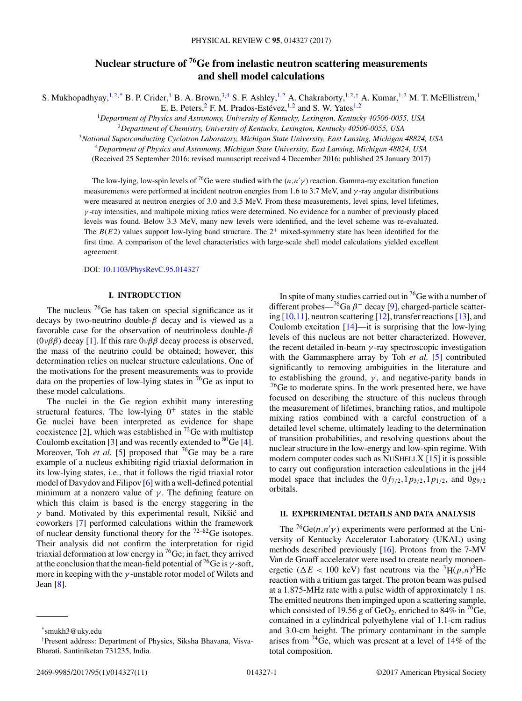### **Nuclear structure of 76Ge from inelastic neutron scattering measurements and shell model calculations**

S. Mukhopadhyay,<sup>1,2,\*</sup> B. P. Crider,<sup>1</sup> B. A. Brown,<sup>3,4</sup> S. F. Ashley,<sup>1,2</sup> A. Chakraborty,<sup>1,2,†</sup> A. Kumar,<sup>1,2</sup> M. T. McEllistrem,<sup>1</sup>

E. E. Peters,  $^2$  F. M. Prados-Estévez,  $^{1,2}$  and S. W. Yates  $^{1,2}$ 

<sup>1</sup>*Department of Physics and Astronomy, University of Kentucky, Lexington, Kentucky 40506-0055, USA* <sup>2</sup>*Department of Chemistry, University of Kentucky, Lexington, Kentucky 40506-0055, USA*

<sup>3</sup>*National Superconducting Cyclotron Laboratory, Michigan State University, East Lansing, Michigan 48824, USA*

<sup>4</sup>*Department of Physics and Astronomy, Michigan State University, East Lansing, Michigan 48824, USA*

(Received 25 September 2016; revised manuscript received 4 December 2016; published 25 January 2017)

The low-lying, low-spin levels of <sup>76</sup>Ge were studied with the  $(n, n'\gamma)$  reaction. Gamma-ray excitation function measurements were performed at incident neutron energies from 1.6 to 3.7 MeV, and γ -ray angular distributions were measured at neutron energies of 3.0 and 3.5 MeV. From these measurements, level spins, level lifetimes,  $\gamma$ -ray intensities, and multipole mixing ratios were determined. No evidence for a number of previously placed levels was found. Below 3.3 MeV, many new levels were identified, and the level scheme was re-evaluated. The  $B(E2)$  values support low-lying band structure. The  $2^+$  mixed-symmetry state has been identified for the first time. A comparison of the level characteristics with large-scale shell model calculations yielded excellent agreement.

DOI: [10.1103/PhysRevC.95.014327](https://doi.org/10.1103/PhysRevC.95.014327)

#### **I. INTRODUCTION**

The nucleus  ${}^{76}$ Ge has taken on special significance as it decays by two-neutrino double- $\beta$  decay and is viewed as a favorable case for the observation of neutrinoless double- $\beta$ ( $0\nu\beta\beta$ ) decay [\[1\]](#page-12-0). If this rare  $0\nu\beta\beta$  decay process is observed, the mass of the neutrino could be obtained; however, this determination relies on nuclear structure calculations. One of the motivations for the present measurements was to provide data on the properties of low-lying states in  $^{76}$ Ge as input to these model calculations.

The nuclei in the Ge region exhibit many interesting structural features. The low-lying  $0^+$  states in the stable Ge nuclei have been interpreted as evidence for shape coexistence [\[2\]](#page-12-0), which was established in  $^{72}$ Ge with multistep Coulomb excitation [\[3\]](#page-12-0) and was recently extended to  ${}^{80}$ Ge [\[4\]](#page-12-0). Moreover, Toh *et al.* [\[5\]](#page-12-0) proposed that <sup>76</sup>Ge may be a rare example of a nucleus exhibiting rigid triaxial deformation in its low-lying states, i.e., that it follows the rigid triaxial rotor model of Davydov and Filipov [\[6\]](#page-12-0) with a well-defined potential minimum at a nonzero value of  $\gamma$ . The defining feature on which this claim is based is the energy staggering in the  $\gamma$  band. Motivated by this experimental result, Nikšić and coworkers [\[7\]](#page-12-0) performed calculations within the framework of nuclear density functional theory for the  $72-82$  Ge isotopes. Their analysis did not confirm the interpretation for rigid triaxial deformation at low energy in  $^{76}$ Ge; in fact, they arrived at the conclusion that the mean-field potential of <sup>76</sup>Ge is  $\gamma$ -soft, more in keeping with the  $\gamma$ -unstable rotor model of Wilets and Jean [\[8\]](#page-12-0).

In spite of many studies carried out in  ${}^{76}$ Ge with a number of different probes— $^{76}Ga \beta$ <sup>-</sup> decay [\[9\]](#page-12-0), charged-particle scattering [\[10,11\]](#page-12-0), neutron scattering [\[12\]](#page-12-0), transfer reactions [\[13\]](#page-12-0), and Coulomb excitation  $[14]$ —it is surprising that the low-lying levels of this nucleus are not better characterized. However, the recent detailed in-beam  $\gamma$ -ray spectroscopic investigation with the Gammasphere array by Toh *et al.* [\[5\]](#page-12-0) contributed significantly to removing ambiguities in the literature and to establishing the ground,  $\gamma$ , and negative-parity bands in <sup>76</sup>Ge to moderate spins. In the work presented here, we have focused on describing the structure of this nucleus through the measurement of lifetimes, branching ratios, and multipole mixing ratios combined with a careful construction of a detailed level scheme, ultimately leading to the determination of transition probabilities, and resolving questions about the nuclear structure in the low-energy and low-spin regime. With modern computer codes such as NUSHELLX [\[15\]](#page-12-0) it is possible to carry out configuration interaction calculations in the jj44 model space that includes the  $0f_{7/2}$ ,  $1p_{3/2}$ ,  $1p_{1/2}$ , and  $0g_{9/2}$ orbitals.

#### **II. EXPERIMENTAL DETAILS AND DATA ANALYSIS**

The <sup>76</sup>Ge(*n*,*n'* $\gamma$ ) experiments were performed at the University of Kentucky Accelerator Laboratory (UKAL) using methods described previously [\[16\]](#page-12-0). Protons from the 7-MV Van de Graaff accelerator were used to create nearly monoenergetic ( $\Delta E < 100$  keV) fast neutrons via the <sup>3</sup>H( $p,n$ )<sup>3</sup>He reaction with a tritium gas target. The proton beam was pulsed at a 1.875-MHz rate with a pulse width of approximately 1 ns. The emitted neutrons then impinged upon a scattering sample, which consisted of 19.56 g of GeO<sub>2</sub>, enriched to 84% in <sup>76</sup>Ge, contained in a cylindrical polyethylene vial of 1.1-cm radius and 3.0-cm height. The primary contaminant in the sample arises from 74Ge, which was present at a level of 14% of the total composition.

<sup>\*</sup>smukh3@uky.edu

<sup>†</sup> Present address: Department of Physics, Siksha Bhavana, Visva-Bharati, Santiniketan 731235, India.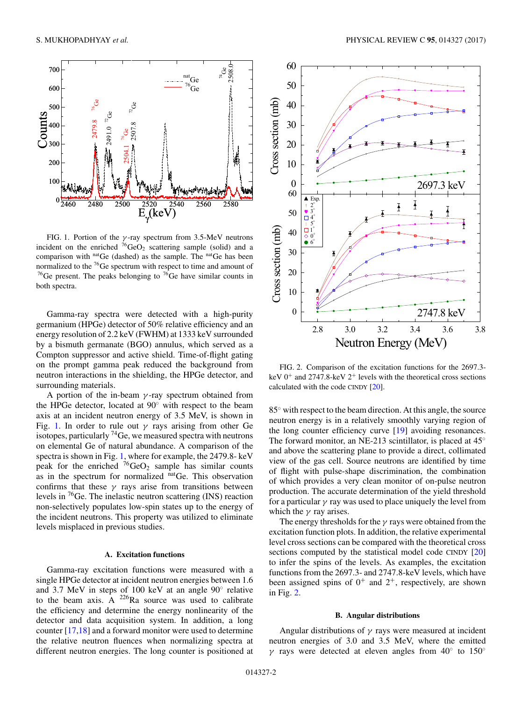<span id="page-3-0"></span>

FIG. 1. Portion of the  $\gamma$ -ray spectrum from 3.5-MeV neutrons incident on the enriched  $76\text{GeO}_2$  scattering sample (solid) and a comparison with natGe (dashed) as the sample. The natGe has been normalized to the  $^{76}$ Ge spectrum with respect to time and amount of <sup>76</sup>Ge present. The peaks belonging to <sup>76</sup>Ge have similar counts in both spectra.

Gamma-ray spectra were detected with a high-purity germanium (HPGe) detector of 50% relative efficiency and an energy resolution of 2.2 keV (FWHM) at 1333 keV surrounded by a bismuth germanate (BGO) annulus, which served as a Compton suppressor and active shield. Time-of-flight gating on the prompt gamma peak reduced the background from neutron interactions in the shielding, the HPGe detector, and surrounding materials.

A portion of the in-beam  $\gamma$ -ray spectrum obtained from the HPGe detector, located at 90◦ with respect to the beam axis at an incident neutron energy of 3.5 MeV, is shown in Fig. 1. In order to rule out  $\gamma$  rays arising from other Ge isotopes, particularly  ${}^{74}$ Ge, we measured spectra with neutrons on elemental Ge of natural abundance. A comparison of the spectra is shown in Fig. 1, where for example, the 2479.8- keV peak for the enriched  ${}^{76}GeO_2$  sample has similar counts as in the spectrum for normalized natGe. This observation confirms that these  $\gamma$  rays arise from transitions between levels in 76Ge. The inelastic neutron scattering (INS) reaction non-selectively populates low-spin states up to the energy of the incident neutrons. This property was utilized to eliminate levels misplaced in previous studies.

#### **A. Excitation functions**

Gamma-ray excitation functions were measured with a single HPGe detector at incident neutron energies between 1.6 and 3.7 MeV in steps of 100 keV at an angle 90◦ relative to the beam axis. A  $^{226}$ Ra source was used to calibrate the efficiency and determine the energy nonlinearity of the detector and data acquisition system. In addition, a long counter [\[17,18\]](#page-12-0) and a forward monitor were used to determine the relative neutron fluences when normalizing spectra at different neutron energies. The long counter is positioned at



FIG. 2. Comparison of the excitation functions for the 2697.3 keV  $0^+$  and 2747.8-keV  $2^+$  levels with the theoretical cross sections calculated with the code CINDY [\[20\]](#page-12-0).

85<sup>°</sup> with respect to the beam direction. At this angle, the source neutron energy is in a relatively smoothly varying region of the long counter efficiency curve [\[19\]](#page-12-0) avoiding resonances. The forward monitor, an NE-213 scintillator, is placed at  $45^\circ$ and above the scattering plane to provide a direct, collimated view of the gas cell. Source neutrons are identified by time of flight with pulse-shape discrimination, the combination of which provides a very clean monitor of on-pulse neutron production. The accurate determination of the yield threshold for a particular  $\gamma$  ray was used to place uniquely the level from which the  $\gamma$  ray arises.

The energy thresholds for the  $\gamma$  rays were obtained from the excitation function plots. In addition, the relative experimental level cross sections can be compared with the theoretical cross sections computed by the statistical model code CINDY [\[20\]](#page-12-0) to infer the spins of the levels. As examples, the excitation functions from the 2697.3- and 2747.8-keV levels, which have been assigned spins of  $0^+$  and  $2^+$ , respectively, are shown in Fig. 2.

#### **B. Angular distributions**

Angular distributions of  $\gamma$  rays were measured at incident neutron energies of 3.0 and 3.5 MeV, where the emitted γ rays were detected at eleven angles from  $40°$  to  $150°$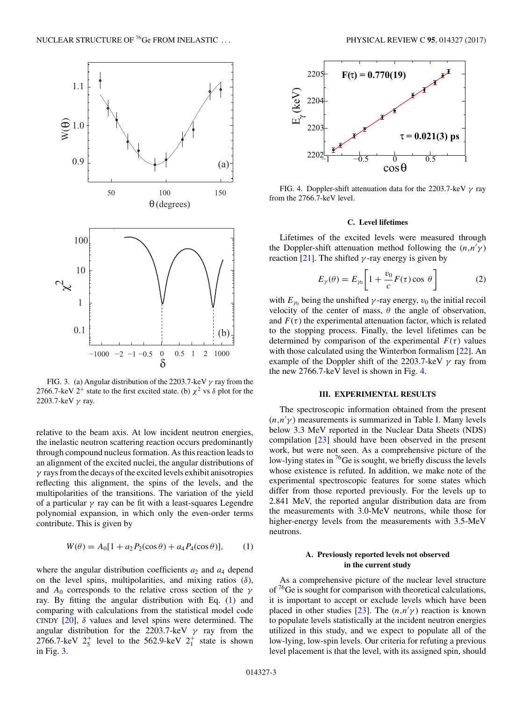<span id="page-4-0"></span>

FIG. 3. (a) Angular distribution of the 2203.7-keV  $\gamma$  ray from the 2766.7-keV  $2^+$  state to the first excited state. (b)  $\chi^2$  vs  $\delta$  plot for the 2203.7-keV  $\gamma$  ray.

relative to the beam axis. At low incident neutron energies, the inelastic neutron scattering reaction occurs predominantly through compound nucleus formation. As this reaction leads to an alignment of the excited nuclei, the angular distributions of  $\gamma$  rays from the decays of the excited levels exhibit anisotropies reflecting this alignment, the spins of the levels, and the multipolarities of the transitions. The variation of the yield of a particular  $\gamma$  ray can be fit with a least-squares Legendre polynomial expansion, in which only the even-order terms contribute. This is given by

$$
W(\theta) = A_0[1 + a_2 P_2(\cos \theta) + a_4 P_4(\cos \theta)], \quad (1)
$$

where the angular distribution coefficients  $a_2$  and  $a_4$  depend on the level spins, multipolarities, and mixing ratios  $(\delta)$ , and  $A_0$  corresponds to the relative cross section of the  $\gamma$ ray. By fitting the angular distribution with Eq. (1) and comparing with calculations from the statistical model code CINDY  $[20]$ ,  $\delta$  values and level spins were determined. The angular distribution for the 2203.7-keV  $\gamma$  ray from the 2766.7-keV  $2^+_5$  level to the 562.9-keV  $2^+_1$  state is shown in Fig. 3.



FIG. 4. Doppler-shift attenuation data for the 2203.7-keV  $\gamma$  ray from the 2766.7-keV level.

#### **C. Level lifetimes**

Lifetimes of the excited levels were measured through the Doppler-shift attenuation method following the  $(n, n' \gamma)$ reaction [\[21\]](#page-12-0). The shifted  $\gamma$ -ray energy is given by

$$
E_{\gamma}(\theta) = E_{\gamma_0} \left[ 1 + \frac{v_0}{c} F(\tau) \cos \theta \right]
$$
 (2)

with  $E_{\gamma_0}$  being the unshifted  $\gamma$ -ray energy,  $v_0$  the initial recoil velocity of the center of mass,  $\theta$  the angle of observation, and  $F(\tau)$  the experimental attenuation factor, which is related to the stopping process. Finally, the level lifetimes can be determined by comparison of the experimental  $F(\tau)$  values with those calculated using the Winterbon formalism [\[22\]](#page-12-0). An example of the Doppler shift of the 2203.7-keV  $\gamma$  ray from the new 2766.7-keV level is shown in Fig. 4.

#### **III. EXPERIMENTAL RESULTS**

The spectroscopic information obtained from the present  $(n,n'\gamma)$  measurements is summarized in Table [I.](#page-5-0) Many levels below 3.3 MeV reported in the Nuclear Data Sheets (NDS) compilation [\[23\]](#page-12-0) should have been observed in the present work, but were not seen. As a comprehensive picture of the low-lying states in  $\frac{76}{6}$  is sought, we briefly discuss the levels whose existence is refuted. In addition, we make note of the experimental spectroscopic features for some states which differ from those reported previously. For the levels up to 2.841 MeV, the reported angular distribution data are from the measurements with 3.0-MeV neutrons, while those for higher-energy levels from the measurements with 3.5-MeV neutrons.

#### **A. Previously reported levels not observed in the current study**

As a comprehensive picture of the nuclear level structure of  $76$ Ge is sought for comparison with theoretical calculations, it is important to accept or exclude levels which have been placed in other studies [\[23\]](#page-12-0). The  $(n,n'\gamma)$  reaction is known to populate levels statistically at the incident neutron energies utilized in this study, and we expect to populate all of the low-lying, low-spin levels. Our criteria for refuting a previous level placement is that the level, with its assigned spin, should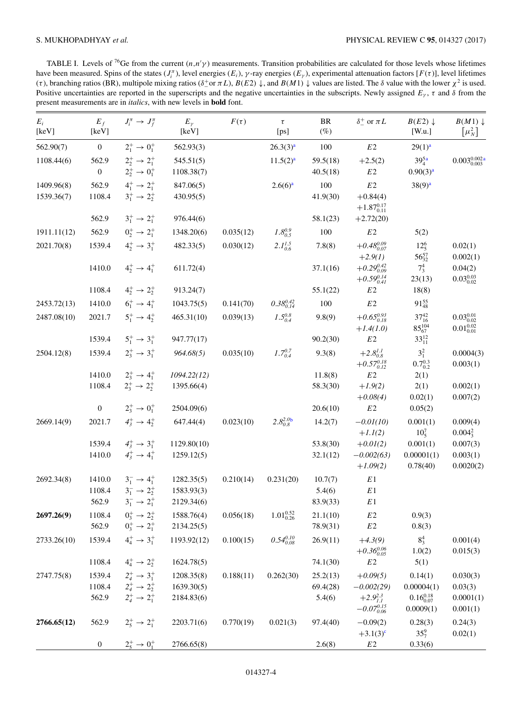<span id="page-5-0"></span>TABLE I. Levels of <sup>76</sup>Ge from the current  $(n,n'\gamma)$  measurements. Transition probabilities are calculated for those levels whose lifetimes have been measured. Spins of the states  $(J_i^{\pi})$ , level energies  $(E_i)$ ,  $\gamma$ -ray energies  $(E_{\gamma})$ , experimental attenuation factors  $[F(\tau)]$ , level lifetimes (τ), branching ratios (BR), multipole mixing ratios (δ<sup>+</sup> or πL),  $B(E2)$  ↓, and  $B(M1)$  ↓ values are listed. The δ value with the lower  $\chi^2$  is used. Positive uncertainties are reported in the superscripts and the negative uncertainties in the subscripts. Newly assigned  $E_y$ ,  $\tau$  and  $\delta$  from the present measurements are in *italics*, with new levels in **bold** font.

| $E_i$<br>[keV]           | $E_f$<br>[keV]            | $J_i^{\pi} \rightarrow J_f^{\pi}$                                      | $E_{\gamma}$<br>[keV]    | $F(\tau)$ | $\tau$<br>[ps]       | BR<br>$(\%)$         | $\delta^+_-$ or $\pi L$                        | $B(E2) \downarrow$<br>[W.u.]        | $B(M1) \downarrow$<br>$\left[\mu_N^2\right]$ |
|--------------------------|---------------------------|------------------------------------------------------------------------|--------------------------|-----------|----------------------|----------------------|------------------------------------------------|-------------------------------------|----------------------------------------------|
| 562.90(7)                | $\boldsymbol{0}$          | $2^+_1 \rightarrow 0^+_1$                                              | 562.93(3)                |           | 26.3(3) <sup>a</sup> | 100                  | $E2$                                           | $29(1)^{a}$                         |                                              |
| 1108.44(6)               | 562.9<br>$\boldsymbol{0}$ | $2^+_2 \rightarrow 2^+_1$<br>$2^+_2 \rightarrow 0^+_1$                 | 545.51(5)<br>1108.38(7)  |           | 11.5(2) <sup>a</sup> | 59.5(18)<br>40.5(18) | $+2.5(2)$<br>$E2\,$                            | $39_4^{5a}$<br>0.90(3) <sup>a</sup> | $0.003_{0.003}^{0.002a}$                     |
| 1409.96(8)<br>1539.36(7) | 562.9<br>1108.4           | $4^+_1 \rightarrow 2^+_1$<br>$3^+_1 \rightarrow 2^+_2$                 | 847.06(5)<br>430.95(5)   |           | 2.6(6) <sup>a</sup>  | 100<br>41.9(30)      | $E2\,$<br>$+0.84(4)$<br>$+1.87^{0.17}_{0.11}$  | $38(9)^{a}$                         |                                              |
|                          | 562.9                     | $3^+_1 \rightarrow 2^+_1$                                              | 976.44(6)                |           |                      | 58.1(23)             | $+2.72(20)$                                    |                                     |                                              |
| 1911.11(12)              | 562.9                     | $0^+_2 \rightarrow 2^+_1$                                              | 1348.20(6)               | 0.035(12) | $1.8^{0.9}_{0.5}$    | 100                  | E2                                             | 5(2)                                |                                              |
| 2021.70(8)               | 1539.4                    | $4^+_2 \rightarrow 3^+_1$                                              | 482.33(5)                | 0.030(12) | $2.I^{1.5}_{0.6}$    | 7.8(8)               | $+0.48^{0.09}_{0.07}$<br>$+2.9(1)$             | $12^{6}_{5}$<br>$56^{57}_{32}$      | 0.02(1)<br>0.002(1)                          |
|                          | 1410.0                    | $4^+_2 \rightarrow 4^+_1$                                              | 611.72(4)                |           |                      | 37.1(16)             | $+0.29_{0.09}^{0.42}$<br>$+0.59^{0.14}_{0.41}$ | $7^4_3$<br>23(13)                   | 0.04(2)<br>$0.03_{0.02}^{0.03}$              |
|                          | 1108.4                    | $4^+_2 \rightarrow 2^+_2$                                              | 913.24(7)                |           |                      | 55.1(22)             | $E2$                                           | 18(8)                               |                                              |
| 2453.72(13)              | 1410.0                    | $6^+_1 \rightarrow 4^+_1$                                              | 1043.75(5)               | 0.141(70) | $0.38^{0.42}_{0.14}$ | 100                  | $E2\,$                                         | $91_{48}^{55}$                      |                                              |
| 2487.08(10)              | 2021.7                    | $5^+_1 \rightarrow 4^+_2$                                              | 465.31(10)               | 0.039(13) | $1.5^{0.8}_{0.4}$    | 9.8(9)               | $+0.65_{0.18}^{0.93}$<br>$+1.4(1.0)$           | $37^{42}_{16}$<br>$85^{104}_{67}$   | $0.03_{0.02}^{0.01}$<br>$0.01_{0.01}^{0.02}$ |
|                          | 1539.4                    | $5^+_1 \rightarrow 3^+_1$                                              | 947.77(17)               |           |                      | 90.2(30)             | $E2$                                           | $33^{12}_{11}$                      |                                              |
| 2504.12(8)               | 1539.4                    | $2^+_3 \rightarrow 3^+_1$                                              | 964.68(5)                | 0.035(10) | $1.7^{0.7}_{0.4}$    | 9.3(8)               | $+2.8^{1.1}_{0.8}$<br>$+0.57^{0.18}_{0.12}$    | $3^{2}_{1}$<br>$0.7_{0.2}^{0.3}$    | 0.0004(3)<br>0.003(1)                        |
|                          | 1410.0                    | $2^+_3 \rightarrow 4^+_1$                                              | 1094.22(12)              |           |                      | 11.8(8)              | E2                                             | 2(1)                                |                                              |
|                          | 1108.4                    | $2^+_3 \rightarrow 2^+_2$                                              | 1395.66(4)               |           |                      | 58.3(30)             | $+1.9(2)$<br>$+0.08(4)$                        | 2(1)<br>0.02(1)                     | 0.002(1)<br>0.007(2)                         |
|                          | $\overline{0}$            | $2^+_3 \rightarrow 0^+_1$                                              | 2504.09(6)               |           |                      | 20.6(10)             | $E2$                                           | 0.05(2)                             |                                              |
| 2669.14(9)               | 2021.7                    | $4^+_3 \rightarrow 4^+_2$                                              | 647.44(4)                | 0.023(10) | $2.8^{2.0b}_{0.8}$   | 14.2(7)              | $-0.01(10)$<br>$+1.1(2)$                       | 0.001(1)<br>$10^{7}_{5}$            | 0.009(4)<br>$0.004_3^2$                      |
|                          | 1539.4                    | $4^+_3 \rightarrow 3^+_1$                                              | 1129.80(10)              |           |                      | 53.8(30)             | $+0.01(2)$                                     | 0.001(1)                            | 0.007(3)                                     |
|                          | 1410.0                    | $4^+_3 \rightarrow 4^+_1$                                              | 1259.12(5)               |           |                      | 32.1(12)             | $-0.002(63)$<br>$+1.09(2)$                     | 0.00001(1)<br>0.78(40)              | 0.003(1)<br>0.0020(2)                        |
| 2692.34(8)               | 1410.0<br>1108.4          | $3^{-}_{1} \rightarrow 4^{+}_{1}$<br>$3^{-}_{1} \rightarrow 2^{+}_{2}$ | 1282.35(5)<br>1583.93(3) | 0.210(14) | 0.231(20)            | 10.7(7)<br>5.4(6)    | $E\,1$<br>E1                                   |                                     |                                              |
|                          | 562.9                     | $3^{-}_{1} \rightarrow 2^{+}_{1}$                                      | 2129.34(6)               |           |                      | 83.9(33)             | $E\,1$                                         |                                     |                                              |
| 2697.26(9)               | 1108.4<br>562.9           | $0^+_3 \to 2^+_2$<br>$0^+_3 \rightarrow 2^+_1$                         | 1588.76(4)<br>2134.25(5) | 0.056(18) | $1.01_{0.26}^{0.52}$ | 21.1(10)<br>78.9(31) | E2<br>$E2\,$                                   | 0.9(3)<br>0.8(3)                    |                                              |
| 2733.26(10)              | 1539.4                    | $4^{+}_{4} \rightarrow 3^{+}_{1}$                                      | 1193.92(12)              | 0.100(15) | $0.54^{0.10}_{0.08}$ | 26.9(11)             | $+4.3(9)$<br>$+0.36_{0.05}^{0.06}$             | $8^{4}_{3}$<br>1.0(2)               | 0.001(4)<br>0.015(3)                         |
|                          | 1108.4                    | $4^+_4 \rightarrow 2^+_2$                                              | 1624.78(5)               |           |                      | 74.1(30)             | $E2$                                           | 5(1)                                |                                              |
| 2747.75(8)               | 1539.4                    | $2^{+}_{4} \rightarrow 3^{+}_{1}$                                      | 1208.35(8)               | 0.188(11) | 0.262(30)            | 25.2(13)             | $+0.09(5)$                                     | 0.14(1)                             | 0.030(3)                                     |
|                          | 1108.4                    | $2^+_4\rightarrow 2^+_2$                                               | 1639.30(5)               |           |                      | 69.4(28)             | $-0.002(29)$                                   | 0.00004(1)                          | 0.03(3)                                      |
|                          | 562.9                     | $2^{+}_{4} \rightarrow 2^{+}_{1}$                                      | 2184.83(6)               |           |                      | 5.4(6)               | $+2.9^{2.3}_{1.1}$<br>$-0.07^{0.15}_{0.06}$    | $0.16_{0.07}^{0.18}$<br>0.0009(1)   | 0.0001(1)<br>0.001(1)                        |
| 2766.65(12)              | 562.9                     | $2^+_5 \rightarrow 2^+_1$                                              | 2203.71(6)               | 0.770(19) | 0.021(3)             | 97.4(40)             | $-0.09(2)$<br>$+3.1(3)^{c}$                    | 0.28(3)<br>$35^{9}$                 | 0.24(3)<br>0.02(1)                           |
|                          | $\boldsymbol{0}$          | $2^+_5 \rightarrow 0^+_1$                                              | 2766.65(8)               |           |                      | 2.6(8)               | $E2\,$                                         | 0.33(6)                             |                                              |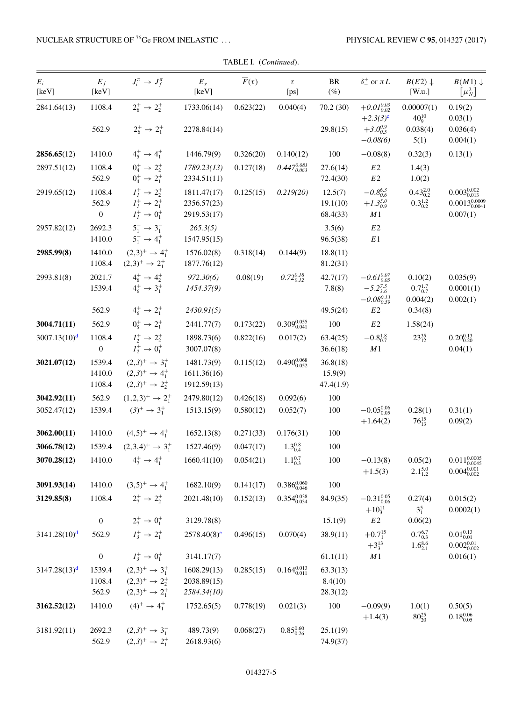| $E_i$<br>[keV]           | $E_f$<br>[keV]                  | $J_i^{\pi} \rightarrow J_f^{\pi}$                                                                           | $E_{\gamma}$<br>[keV]                     | $\overline{F}(\tau)$ | $\tau$<br>[ps]                                    | BR<br>$(\%)$                     | $\delta^+_-$ or $\pi L$                                                    | $B(E2) \downarrow$<br>[W.u.]                    | $B(M1) \downarrow$<br>$\left[\mu_N^2\right]$                      |
|--------------------------|---------------------------------|-------------------------------------------------------------------------------------------------------------|-------------------------------------------|----------------------|---------------------------------------------------|----------------------------------|----------------------------------------------------------------------------|-------------------------------------------------|-------------------------------------------------------------------|
| 2841.64(13)              | 1108.4<br>562.9                 | $2^+_6 \rightarrow 2^+_2$<br>$2^{+}_{6} \rightarrow 2^{+}_{1}$                                              | 1733.06(14)<br>2278.84(14)                | 0.623(22)            | 0.040(4)                                          | 70.2(30)<br>29.8(15)             | $+0.01_{0.02}^{0.03}$<br>$+2.3(3)^{c}$<br>$+3.0^{0.9}_{0.5}$<br>$-0.08(6)$ | 0.00007(1)<br>$40^{10}_{9}$<br>0.038(4)<br>5(1) | 0.19(2)<br>0.03(1)<br>0.036(4)<br>0.004(1)                        |
| 2856.65(12)              | 1410.0                          | $4^+_5 \rightarrow 4^+_1$                                                                                   | 1446.79(9)                                | 0.326(20)            | 0.140(12)                                         | 100                              | $-0.08(8)$                                                                 | 0.32(3)                                         | 0.13(1)                                                           |
| 2897.51(12)              | 1108.4<br>562.9                 | $0^+_4 \rightarrow 2^+_2$<br>$0^+_4 \rightarrow 2^+_1$                                                      | 1789.23(13)<br>2334.51(11)                | 0.127(18)            | $0.447^{0.081}_{0.063}$                           | 27.6(14)<br>72.4(30)             | E2<br>$E2\,$                                                               | 1.4(3)<br>1.0(2)                                |                                                                   |
| 2919.65(12)              | 1108.4<br>562.9<br>$\mathbf{0}$ | $I_1^+ \to 2_2^+$<br>$I_1^+ \to 2_1^+$<br>$I_1^+ \to 0_1^+$                                                 | 1811.47(17)<br>2356.57(23)<br>2919.53(17) | 0.125(15)            | 0.219(20)                                         | 12.5(7)<br>19.1(10)<br>68.4(33)  | $-0.8_{0.6}^{6.3}$<br>$+1.3_{0.9}^{5.0}$<br>M1                             | $0.43_{0.2}^{2.0}$<br>$0.3_{0.2}^{1.2}$         | $0.003_{0.013}^{0.002}$<br>$0.0013_{0.0041}^{0.0009}$<br>0.007(1) |
| 2957.82(12)              | 2692.3<br>1410.0                | $5^{-}_{1} \rightarrow 3^{-}_{1}$<br>$5^{-}_{1} \rightarrow 4^{+}_{1}$                                      | 265.3(5)<br>1547.95(15)                   |                      |                                                   | 3.5(6)<br>96.5(38)               | E2<br>E1                                                                   |                                                 |                                                                   |
| 2985.99(8)               | 1410.0<br>1108.4                | $(2,3)^{+} \rightarrow 4^{+}_{1}$<br>$(2,3)^{+} \rightarrow 2^{+}_{1}$                                      | 1576.02(8)<br>1877.76(12)                 | 0.318(14)            | 0.144(9)                                          | 18.8(11)<br>81.2(31)             |                                                                            |                                                 |                                                                   |
| 2993.81(8)               | 2021.7<br>1539.4                | $4^+_6 \rightarrow 4^+_2$<br>$4^+_6 \rightarrow 3^+_1$                                                      | 972.30(6)<br>1454.37(9)                   | 0.08(19)             | $0.72^{0.18}_{0.12}$                              | 42.7(17)<br>7.8(8)               | $-0.61_{0.05}^{0.07}$<br>$-5.2_{3.6}^{7.5}$<br>$-0.08^{0.13}_{0.59}$       | 0.10(2)<br>$0.7_{0.7}^{1.7}$<br>0.004(2)        | 0.035(9)<br>0.0001(1)<br>0.002(1)                                 |
|                          | 562.9                           | $4^+_6 \rightarrow 2^+_1$                                                                                   | 2430.91(5)                                |                      |                                                   | 49.5(24)                         | E2                                                                         | 0.34(8)                                         |                                                                   |
| 3004.71(11)              | 562.9                           | $0^+_5 \rightarrow 2^+_1$                                                                                   | 2441.77(7)                                | 0.173(22)            | $0.309_{0.041}^{0.055}$                           | 100                              | $E2\,$                                                                     | 1.58(24)                                        |                                                                   |
| $3007.13(10)^d$          | 1108.4<br>$\boldsymbol{0}$      | $I_2^+ \to 2_2^+$<br>$I_2^+ \to 0_1^+$                                                                      | 1898.73(6)<br>3007.07(8)                  | 0.822(16)            | 0.017(2)                                          | 63.4(25)<br>36.6(18)             | $-0.8_{0.7}^{1.8}$<br>M1                                                   | $23^{35}_{12}$                                  | $0.20_{0.20}^{0.13}$<br>0.04(1)                                   |
| 3021.07(12)              | 1539.4<br>1410.0<br>1108.4      | $(2,3)^{+} \rightarrow 3^{+}_{1}$<br>$(2,3)^{+} \rightarrow 4^{+}_{1}$<br>$(2,3)^{+} \rightarrow 2^{+}_{2}$ | 1481.73(9)<br>1611.36(16)<br>1912.59(13)  | 0.115(12)            | $0.490^{\scriptstyle 0.068}_{\scriptstyle 0.052}$ | 36.8(18)<br>15.9(9)<br>47.4(1.9) |                                                                            |                                                 |                                                                   |
| 3042.92(11)              | 562.9                           | $(1,2,3)^{+} \rightarrow 2^{+}_{1}$                                                                         | 2479.80(12)                               | 0.426(18)            | 0.092(6)                                          | 100                              |                                                                            |                                                 |                                                                   |
| 3052.47(12)              | 1539.4                          | $(3)^+ \rightarrow 3^+$                                                                                     | 1513.15(9)                                | 0.580(12)            | 0.052(7)                                          | 100                              | $-0.05_{0.05}^{0.06}$<br>$+1.64(2)$                                        | 0.28(1)<br>$76^{15}_{13}$                       | 0.31(1)<br>0.09(2)                                                |
| 3062.00(11)              | 1410.0                          | $(4,5)^{+} \rightarrow 4^{+}_{1}$                                                                           | 1652.13(8)                                | 0.271(33)            | 0.176(31)                                         | 100                              |                                                                            |                                                 |                                                                   |
| 3066.78(12)              | 1539.4                          | $(2,3,4)^{+} \rightarrow 3^{+}_{1}$                                                                         | 1527.46(9)                                | 0.047(17)            | $1.3_{0.4}^{0.8}$                                 | 100                              |                                                                            |                                                 |                                                                   |
| 3070.28(12)              | 1410.0                          | $4^+_7 \rightarrow 4^+_1$                                                                                   | 1660.41(10)                               | 0.054(21)            | $1.1_{0.3}^{0.7}$                                 | 100                              | $-0.13(8)$<br>$+1.5(3)$                                                    | 0.05(2)<br>$2.1_{1.2}^{5.0}$                    | $0.011_{0.0045}^{0.0005}$<br>$0.004_{0.002}^{0.001}$              |
| 3091.93(14)              | 1410.0                          | $(3,5)^{+} \rightarrow 4^{+}_{1}$                                                                           | 1682.10(9)                                | 0.141(17)            | $0.386_{0.046}^{0.060}$                           | 100                              |                                                                            |                                                 |                                                                   |
| 3129.85(8)               | 1108.4                          | $2^+_7 \rightarrow 2^+_2$                                                                                   | 2021.48(10)                               | 0.152(13)            | $0.354_{0.034}^{0.038}$                           | 84.9(35)                         | $-0.31_{0.06}^{0.05}$<br>$+10^{11}_{3}$                                    | 0.27(4)<br>$3_1^5$                              | 0.015(2)<br>0.0002(1)                                             |
|                          | $\boldsymbol{0}$                | $2^+_7 \rightarrow 0^+_1$                                                                                   | 3129.78(8)                                |                      |                                                   | 15.1(9)                          | $E2\,$                                                                     | 0.06(2)                                         |                                                                   |
| 3141.28(10) <sup>d</sup> | 562.9                           | $I_3^+ \to 2_1^+$                                                                                           | $2578.40(8)^e$                            | 0.496(15)            | 0.070(4)                                          | 38.9(11)                         | $+0.7^{15}_{1}$<br>$+3^{13}_{3}$                                           | $0.7_{0.3}^{6.7}$<br>$1.6_{2.1}^{8.6}$          | $0.01_{0.01}^{0.13}$<br>$0.002^{0.01}_{0.002}$                    |
|                          | $\boldsymbol{0}$                | $I_3^+ \to 0_1^+$                                                                                           | 3141.17(7)                                |                      |                                                   | 61.1(11)                         | M1                                                                         |                                                 | 0.016(1)                                                          |
| $3147.28(13)^d$          | 1539.4<br>1108.4<br>562.9       | $(2,3)^{+} \rightarrow 3^{+}_{1}$<br>$(2,3)^{+} \rightarrow 2^{+}_{2}$<br>$(2,3)^{+} \rightarrow 2^{+}_{1}$ | 1608.29(13)<br>2038.89(15)<br>2584.34(10) | 0.285(15)            | $0.164_{0.011}^{0.013}$                           | 63.3(13)<br>8.4(10)<br>28.3(12)  |                                                                            |                                                 |                                                                   |
| 3162.52(12)              | 1410.0                          | $(4)^+ \rightarrow 4^+$                                                                                     | 1752.65(5)                                | 0.778(19)            | 0.021(3)                                          | 100                              | $-0.09(9)$<br>$+1.4(3)$                                                    | 1.0(1)<br>$80^{25}_{20}$                        | 0.50(5)<br>$0.18^{\rm 0.06}_{\rm 0.05}$                           |
| 3181.92(11)              | 2692.3<br>562.9                 | $(2,3)^+$ $\rightarrow$ 3 <sup>-</sup><br>$(2,3)^+$ $\rightarrow$ 2 <sup>+</sup>                            | 489.73(9)<br>2618.93(6)                   | 0.068(27)            | $0.85_{0.26}^{0.60}$                              | 25.1(19)<br>74.9(37)             |                                                                            |                                                 |                                                                   |

#### TABLE I. (*Continued*).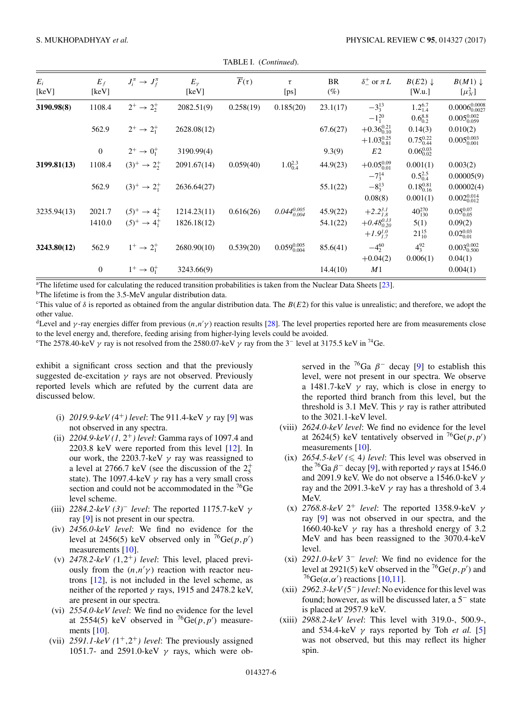<span id="page-7-0"></span>

| $E_i$<br>[keV] | $E_f$<br>[keV] | $J_i^{\pi} \rightarrow J_f^{\pi}$ | $E_{\nu}$<br>[keV] | $\overline{F}(\tau)$ | $\tau$<br>[ps]          | BR<br>$(\%)$ | $\delta^+_-$ or $\pi L$ | $B(E2) \downarrow$<br>[W.u.] | $B(M1) \downarrow$<br>$\left[\mu_N^2\right]$ |
|----------------|----------------|-----------------------------------|--------------------|----------------------|-------------------------|--------------|-------------------------|------------------------------|----------------------------------------------|
| 3190.98(8)     | 1108.4         | $2^+ \rightarrow 2^+$             | 2082.51(9)         | 0.258(19)            | 0.185(20)               | 23.1(17)     | $-3^{13}_{3}$           | $1.2_{1.4}^{6.7}$            | $0.0006_{0.0027}^{0.0008}$                   |
|                |                |                                   |                    |                      |                         |              | $-1^{20}_{1}$           | $0.6_{0.2}^{8.8}$            | $0.005_{0.059}^{0.002}$                      |
|                | 562.9          | $2^+ \rightarrow 2^+$             | 2628.08(12)        |                      |                         | 67.6(27)     | $+0.36_{0.10}^{0.21}$   | 0.14(3)                      | 0.010(2)                                     |
|                |                |                                   |                    |                      |                         |              | $+1.03_{0.81}^{0.25}$   | $0.75_{0.44}^{0.22}$         | $0.005_{0.001}^{0.003}$                      |
|                | $\mathbf{0}$   | $2^+ \to 0^+_1$                   | 3190.99(4)         |                      |                         | 9.3(9)       | E2                      | $0.06_{0.02}^{0.03}$         |                                              |
| 3199.81(13)    | 1108.4         | $(3)^+ \rightarrow 2^+$           | 2091.67(14)        | 0.059(40)            | $1.0^{2.3}_{0.4}$       | 44.9(23)     | $+0.05_{0.01}^{0.09}$   | 0.001(1)                     | 0.003(2)                                     |
|                |                |                                   |                    |                      |                         |              | $-7_3^{14}$             | $0.5_{0.4}^{2.5}$            | 0.00005(9)                                   |
|                | 562.9          | $(3)^+ \rightarrow 2^+$           | 2636.64(27)        |                      |                         | 55.1(22)     | $-8^{13}_{3}$           | $0.18_{0.16}^{0.81}$         | 0.00002(4)                                   |
|                |                |                                   |                    |                      |                         |              | 0.08(8)                 | 0.001(1)                     | $0.002_{0.012}^{0.014}$                      |
| 3235.94(13)    | 2021.7         | $(5)^+ \rightarrow 4^+$           | 1214.23(11)        | 0.616(26)            | $0.044^{0.005}_{0.004}$ | 45.9(22)     | $+2.2^{3.1}_{1.8}$      | $40^{270}_{130}$             | $0.05_{0.05}^{0.07}$                         |
|                | 1410.0         | $(5)^+ \rightarrow 4^+$           | 1826.18(12)        |                      |                         | 54.1(22)     | $+0.48_{0.20}^{0.13}$   | 5(1)                         | 0.09(2)                                      |
|                |                |                                   |                    |                      |                         |              | $+1.9^{1.0}_{1.7}$      | $21^{15}_{10}$               | $0.02_{0.01}^{0.03}$                         |
| 3243.80(12)    | 562.9          | $1^+ \rightarrow 2^+$             | 2680.90(10)        | 0.539(20)            | $0.059_{0.004}^{0.005}$ | 85.6(41)     | $-4^{60}$               | $4^{92}_{3}$                 | $0.003_{0.500}^{0.002}$                      |
|                |                |                                   |                    |                      |                         |              | $+0.04(2)$              | 0.006(1)                     | 0.04(1)                                      |
|                | $\mathbf{0}$   | $1^+ \to 0^+$                     | 3243.66(9)         |                      |                         | 14.4(10)     | M1                      |                              | 0.004(1)                                     |

TABLE I. (*Continued*).

a The lifetime used for calculating the reduced transition probabilities is taken from the Nuclear Data Sheets [\[23\]](#page-12-0).

<sup>b</sup>The lifetime is from the 3.5-MeV angular distribution data.

<sup>c</sup>This value of  $\delta$  is reported as obtained from the angular distribution data. The  $B(E2)$  for this value is unrealistic; and therefore, we adopt the other value.

<sup>d</sup>Level and γ-ray energies differ from previous  $(n, n'$ γ) reaction results [\[28\]](#page-12-0). The level properties reported here are from measurements close to the level energy and, therefore, feeding arising from higher-lying levels could be avoided.

<sup>e</sup>The 2578.40-keV  $\gamma$  ray is not resolved from the 2580.07-keV  $\gamma$  ray from the 3<sup>-</sup> level at 3175.5 keV in <sup>74</sup>Ge.

exhibit a significant cross section and that the previously suggested de-excitation  $\gamma$  rays are not observed. Previously reported levels which are refuted by the current data are discussed below.

- (i)  $2019.9\text{-}keV(4^+)$  *level*: The 911.4-keV  $\gamma$  ray [\[9\]](#page-12-0) was not observed in any spectra.
- (ii) *2204.9-keV (1,* 2+*) level*: Gamma rays of 1097.4 and 2203.8 keV were reported from this level [\[12\]](#page-12-0). In our work, the 2203.7-keV  $\gamma$  ray was reassigned to a level at 2766.7 keV (see the discussion of the  $2^+_5$ state). The 1097.4-keV  $\gamma$  ray has a very small cross section and could not be accommodated in the <sup>76</sup>Ge level scheme.
- (iii) *2284.2-keV (3)*<sup>−</sup> *level*: The reported 1175.7-keV γ ray [\[9\]](#page-12-0) is not present in our spectra.
- (iv) *2456.0-keV level*: We find no evidence for the level at 2456(5) keV observed only in  ${}^{76}Ge(p, p')$ measurements [\[10\]](#page-12-0).
- (v)  $2478.2\text{-}keV$   $(1,2^+)$  *level*: This level, placed previously from the  $(n,n'\gamma)$  reaction with reactor neutrons [\[12\]](#page-12-0), is not included in the level scheme, as neither of the reported  $\gamma$  rays, 1915 and 2478.2 keV, are present in our spectra.
- (vi) *2554.0-keV level*: We find no evidence for the level at 2554(5) keV observed in <sup>76</sup>Ge( $p, p'$ ) measurements [\[10\]](#page-12-0).
- (vii)  $2591.1$ -keV  $(1^+,2^+)$  level: The previously assigned 1051.7- and 2591.0-keV  $\gamma$  rays, which were ob-

served in the <sup>76</sup>Ga  $\beta$ <sup>-</sup> decay [\[9\]](#page-12-0) to establish this level, were not present in our spectra. We observe a 1481.7-keV  $\gamma$  ray, which is close in energy to the reported third branch from this level, but the threshold is 3.1 MeV. This  $\gamma$  ray is rather attributed to the 3021.1-keV level.

- (viii) *2624.0-keV level*: We find no evidence for the level at 2624(5) keV tentatively observed in  ${}^{76}Ge(p, p')$ measurements [\[10\]](#page-12-0).
	- $(ix)$  2654.5-keV ( $\leq 4$ ) level: This level was observed in the <sup>76</sup>Ga  $\beta$ <sup>-</sup> decay [\[9\]](#page-12-0), with reported  $\gamma$  rays at 1546.0 and 2091.9 keV. We do not observe a 1546.0-keV  $\gamma$ ray and the 2091.3-keV  $\gamma$  ray has a threshold of 3.4 MeV.
	- (x)  $2768.8\text{-}keV$   $2^+$  *level*: The reported 1358.9-keV  $\gamma$ ray [\[9\]](#page-12-0) was not observed in our spectra, and the 1660.40-keV  $\gamma$  ray has a threshold energy of 3.2 MeV and has been reassigned to the 3070.4-keV level.
- (xi) *2921.0-keV* 3<sup>−</sup> *level*: We find no evidence for the level at 2921(5) keV observed in the <sup>76</sup>Ge( $p, p'$ ) and <sup>76</sup>Ge( $\alpha$ , $\alpha'$ ) reactions [\[10,11\]](#page-12-0).
- (xii) *2962.3-keV (*5−*) level*: No evidence for this level was found; however, as will be discussed later, a 5<sup>−</sup> state is placed at 2957.9 keV.
- (xiii) *2988.2-keV level*: This level with 319.0-, 500.9-, and 534.4-keV  $\gamma$  rays reported by Toh *et al.* [\[5\]](#page-12-0) was not observed, but this may reflect its higher spin.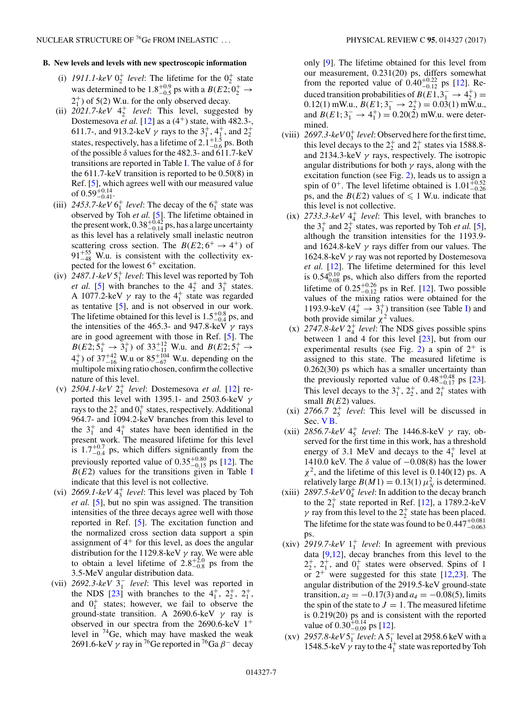#### **B. New levels and levels with new spectroscopic information**

- (i)  $1911.1$ -keV  $0^{+}_{2}$  level: The lifetime for the  $0^{+}_{2}$  state was determined to be  $1.8^{+0.9}_{-0.5}$  ps with a  $B(E2; 0^+_2 \rightarrow$  $2<sub>1</sub><sup>+</sup>$ ) of 5(2) W.u. for the only observed decay.
- (ii)  $2021.7 \text{ keV } 4^+_2$  *level*: This level, suggested by Dostemesova *et al.* [\[12\]](#page-12-0) as a  $(4^+)$  state, with 482.3-, 611.7-, and 913.2-keV  $\gamma$  rays to the  $3^{+}_{1}$ ,  $4^{+}_{1}$ , and  $2^{+}_{2}$ states, respectively, has a lifetime of  $2.1^{+1.5}_{-0.6}$  ps. Both of the possible  $\delta$  values for the 482.3- and 611.7-keV transitions are reported in Table [I.](#page-5-0) The value of  $\delta$  for the 611.7-keV transition is reported to be 0.50(8) in Ref. [\[5\]](#page-12-0), which agrees well with our measured value of  $0.59^{+0.14}_{-0.41}$ .
- (iii)  $2453.7$ -keV  $6^+_1$  *level*: The decay of the  $6^+_1$  state was observed by Toh *et al.* [\[5\]](#page-12-0). The lifetime obtained in the present work,  $0.38^{+0.42}_{-0.14}$  ps, has a large uncertainty as this level has a relatively small inelastic neutron scattering cross section. The  $B(E2; 6^+ \rightarrow 4^+)$  of  $91^{+55}_{-48}$  W.u. is consistent with the collectivity expected for the lowest  $6^+$  excitation.
- $(iv)$  2487.1- $keV$  5<sup>+</sup> *level*: This level was reported by Toh *et al.* [\[5\]](#page-12-0) with branches to the  $4^{\frac{1}{2}}$  and  $3^{\frac{1}{1}}$  states. A 1077.2-keV  $\gamma$  ray to the  $4^+_1$  state was regarded as tentative [\[5\]](#page-12-0), and is not observed in our work. The lifetime obtained for this level is  $1.5^{+0.8}_{-0.4}$  ps, and the intensities of the 465.3- and 947.8-keV  $\gamma$  rays are in good agreement with those in Ref. [\[5\]](#page-12-0). The  $B(E2; 5^+_1 \rightarrow 3^+_1)$  of 33<sup>+12</sup> W.u. and  $B(E2; 5^+_1 \rightarrow$  $4^{+}_{2}$ ) of 37<sup>+42</sup> W.u or 85<sup>+104</sup> W.u. depending on the multipole mixing ratio chosen, confirm the collective nature of this level.
- (v) *2504.1-keV* 2<sup>+</sup> <sup>3</sup> *level*: Dostemesova *et al.* [\[12\]](#page-12-0) reported this level with 1395.1- and 2503.6-keV  $\gamma$ rays to the  $2^+_2$  and  $0^+_1$  states, respectively. Additional 964.7- and 1094.2-keV branches from this level to the  $3^{\dagger}$  and  $4^{\dagger}$  states have been identified in the present work. The measured lifetime for this level is  $1.7^{+0.7}_{-0.4}$  ps, which differs significantly from the previously reported value of  $0.35_{-0.15}^{+0.80}$  ps [\[12\]](#page-12-0). The  $B(E2)$  values for the transitions given in Table [I](#page-5-0) indicate that this level is not collective.
- (vi)  $2669.1$ -keV  $4^+_3$  *level*: This level was placed by Toh *et al.* [\[5\]](#page-12-0), but no spin was assigned. The transition intensities of the three decays agree well with those reported in Ref. [\[5\]](#page-12-0). The excitation function and the normalized cross section data support a spin assignment of  $4<sup>+</sup>$  for this level, as does the angular distribution for the 1129.8-keV  $\gamma$  ray. We were able to obtain a level lifetime of  $2.8^{+2.0}_{-0.8}$  ps from the 3.5-MeV angular distribution data.
- (vii) *2692.3-keV* 3<sup>−</sup> <sup>1</sup> *level*: This level was reported in the NDS [\[23\]](#page-12-0) with branches to the  $4^+_1$ ,  $2^+_2$ ,  $2^+_1$ , and  $0^+_1$  states; however, we fail to observe the ground-state transition. A 2690.6-keV  $\gamma$  ray is observed in our spectra from the 2690.6-keV  $1^+$ level in 74Ge, which may have masked the weak 2691.6-keV  $\gamma$  ray in <sup>76</sup>Ge reported in <sup>76</sup>Ga  $\beta$ <sup>-</sup> decay

only [\[9\]](#page-12-0). The lifetime obtained for this level from our measurement, 0.231(20) ps, differs somewhat from the reported value of  $0.40^{+0.22}_{-0.12}$  ps [\[12\]](#page-12-0). Reduced transition probabilities of  $B(E1,3^{-}_{1} \rightarrow 4^{+}_{2}) =$  $0.12(1)$  mW.u.,  $B(E1; 3<sub>1</sub><sup>-</sup> \rightarrow 2<sub>2</sub><sup>+</sup>) = 0.03(1)$  mW.u., and  $B(E1; 3<sub>1</sub><sup>-</sup> \rightarrow 4<sub>1</sub><sup>+</sup>) = 0.20(2)$  mW.u. were determined.

- (viii)  $2697.3 \text{--} keV0_3^+ level$ : Observed here for the first time, this level decays to the  $2^+_2$  and  $2^+_1$  states via 1588.8and 2134.3-keV  $\gamma$  rays, respectively. The isotropic angular distributions for both  $\gamma$  rays, along with the excitation function (see Fig. [2\)](#page-3-0), leads us to assign a spin of  $0^+$ . The level lifetime obtained is  $1.01_{-0.26}^{+0.52}$ ps, and the  $B(E2)$  values of  $\leq 1$  W.u. indicate that this level is not collective.
	- $(ix)$  2733.3- $keV$  4<sup>+</sup> *level*: This level, with branches to the  $3^+_1$  and  $2^+_2$  states, was reported by Toh *et al.* [\[5\]](#page-12-0), although the transition intensities for the 1193.9 and 1624.8-keV  $\gamma$  rays differ from our values. The 1624.8-keV  $\gamma$  ray was not reported by Dostemesova *et al.* [\[12\]](#page-12-0). The lifetime determined for this level is  $0.54_{0.08}^{0.10}$  ps, which also differs from the reported lifetime of  $0.25_{-0.12}^{+0.26}$  ps in Ref. [\[12\]](#page-12-0). Two possible values of the mixing ratios were obtained for the 1193.9-keV  $(4^+_4 \rightarrow 3^+_{1})$  transition (see Table [I\)](#page-5-0) and both provide similar  $\chi^2$  values.
	- $(x)$  2747.8- $keV2^+_4$  *level*: The NDS gives possible spins between 1 and 4 for this level [\[23\]](#page-12-0), but from our experimental results (see Fig. [2\)](#page-3-0) a spin of  $2^+$  is assigned to this state. The measured lifetime is 0.262(30) ps which has a smaller uncertainty than the previously reported value of  $0.48^{+0.48}_{-0.17}$  ps [\[23\]](#page-12-0). This level decays to the  $3^+_1$ ,  $2^+_2$ , and  $2^+_1$  states with small  $B(E2)$  values.
- $(xi)$  2766.7  $2^+_5$  *level*: This level will be discussed in Sec. [V B.](#page-9-0)
- (xii) *2856.7-keV*  $4^+_5$  *level*: The 1446.8-keV γ ray, observed for the first time in this work, has a threshold energy of 3.1 MeV and decays to the  $4<sub>1</sub><sup>+</sup>$  level at 1410.0 keV. The  $\delta$  value of  $-0.08(8)$  has the lower  $\chi^2$ , and the lifetime of this level is 0.140(12) ps. A relatively large  $B(M1) = 0.13(1) \mu_N^2$  is determined.
- $(xiii)$  2897.5- $keV0<sub>4</sub><sup>+</sup> level$ : In addition to the decay branch to the  $2_1^+$  state reported in Ref. [\[12\]](#page-12-0), a 1789.2-keV  $\gamma$  ray from this level to the  $2^+_2$  state has been placed. The lifetime for the state was found to be  $0.447^{+0.081}_{-0.063}$ ps.
- $(xiv)$  2919.7-keV  $1^+_1$  *level*: In agreement with previous data  $[9,12]$ , decay branches from this level to the  $2^+_2$ ,  $2^+_1$ , and  $0^+_1$  states were observed. Spins of 1 or  $2^+$  were suggested for this state  $[12,23]$ . The angular distribution of the 2919.5-keV ground-state transition,  $a_2 = -0.17(3)$  and  $a_4 = -0.08(5)$ , limits the spin of the state to  $J = 1$ . The measured lifetime is 0.219(20) ps and is consistent with the reported value of  $0.30_{-0.09}^{+0.14}$  ps [\[12\]](#page-12-0).
- (xv) 2957.8- $keV5_1^-$  *level*: A  $5_1^-$  level at 2958.6 keV with a 1548.5-keV  $\gamma$  ray to the 4<sup>+</sup> state was reported by Toh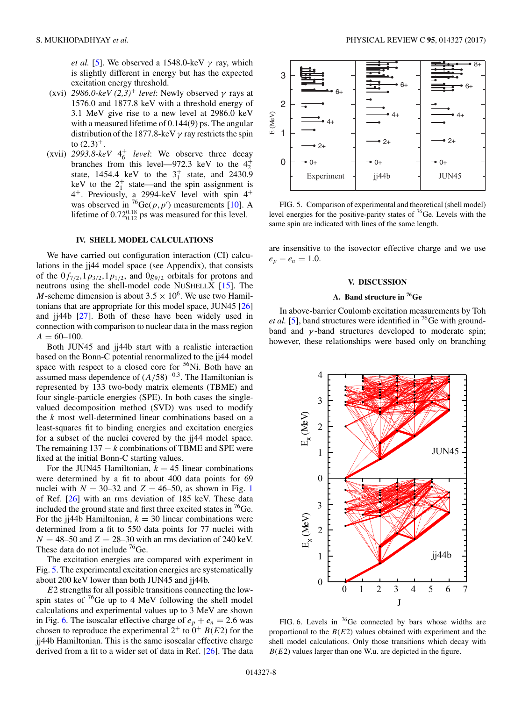<span id="page-9-0"></span>*et al.* [\[5\]](#page-12-0). We observed a 1548.0-keV  $\gamma$  ray, which is slightly different in energy but has the expected excitation energy threshold.

- (xvi) 2986.0-keV  $(2,3)^+$  *level*: Newly observed  $\gamma$  rays at 1576.0 and 1877.8 keV with a threshold energy of 3.1 MeV give rise to a new level at 2986.0 keV with a measured lifetime of 0.144(9) ps. The angular distribution of the 1877.8-keV  $\gamma$  ray restricts the spin to  $(2,3)^{+}$ .
- $(xvii)$  2993.8- $keV$  4<sup>+</sup> *level*: We observe three decay branches from this level—972.3 keV to the  $4^{+}_{2}$ state, 1454.4 keV to the  $3^{+}_{1}$  state, and 2430.9 keV to the  $2^+_1$  state—and the spin assignment is 4+. Previously, a 2994-keV level with spin 4<sup>+</sup> was observed in <sup>76</sup>Ge( $p, p'$ ) measurements [\[10\]](#page-12-0). A lifetime of  $0.72_{0.12}^{0.18}$  ps was measured for this level.

#### **IV. SHELL MODEL CALCULATIONS**

We have carried out configuration interaction (CI) calculations in the jj44 model space (see Appendix), that consists of the  $0f_{7/2}$ ,  $1p_{3/2}$ ,  $1p_{1/2}$ , and  $0g_{9/2}$  orbitals for protons and neutrons using the shell-model code NUSHELLX [\[15\]](#page-12-0). The M-scheme dimension is about  $3.5 \times 10^6$ . We use two Hamiltonians that are appropriate for this model space, JUN45 [\[26\]](#page-12-0) and jj44b [\[27\]](#page-12-0). Both of these have been widely used in connection with comparison to nuclear data in the mass region  $A = 60 - 100.$ 

Both JUN45 and jj44b start with a realistic interaction based on the Bonn-C potential renormalized to the jj44 model space with respect to a closed core for  $56$ Ni. Both have an assumed mass dependence of  $(A/58)^{-0.3}$ . The Hamiltonian is represented by 133 two-body matrix elements (TBME) and four single-particle energies (SPE). In both cases the singlevalued decomposition method (SVD) was used to modify the  $k$  most well-determined linear combinations based on a least-squares fit to binding energies and excitation energies for a subset of the nuclei covered by the jj44 model space. The remaining  $137 - k$  combinations of TBME and SPE were fixed at the initial Bonn-C starting values.

For the JUN45 Hamiltonian,  $k = 45$  linear combinations were determined by a fit to about 400 data points for 69 nuclei with  $N = 30-32$  and  $Z = 46-50$ , as shown in Fig. [1](#page-3-0) of Ref. [\[26\]](#page-12-0) with an rms deviation of 185 keV. These data included the ground state and first three excited states in  $^{76}$ Ge. For the jj44b Hamiltonian,  $k = 30$  linear combinations were determined from a fit to 550 data points for 77 nuclei with  $N = 48-50$  and  $Z = 28-30$  with an rms deviation of 240 keV. These data do not include <sup>76</sup>Ge.

The excitation energies are compared with experiment in Fig. 5. The experimental excitation energies are systematically about 200 keV lower than both JUN45 and jj44b.

 $E2$  strengths for all possible transitions connecting the lowspin states of  ${}^{76}$ Ge up to 4 MeV following the shell model calculations and experimental values up to 3 MeV are shown in Fig. 6. The isoscalar effective charge of  $e_p + e_n = 2.6$  was chosen to reproduce the experimental  $2^+$  to  $0^+$   $B(E2)$  for the jj44b Hamiltonian. This is the same isoscalar effective charge derived from a fit to a wider set of data in Ref. [\[26\]](#page-12-0). The data



FIG. 5. Comparison of experimental and theoretical (shell model) level energies for the positive-parity states of 76Ge. Levels with the same spin are indicated with lines of the same length.

are insensitive to the isovector effective charge and we use  $e_p - e_n = 1.0$ .

#### **V. DISCUSSION**

#### **A. Band structure in 76Ge**

In above-barrier Coulomb excitation measurements by Toh *et al.* [\[5\]](#page-12-0), band structures were identified in  ${}^{76}$ Ge with groundband and  $\gamma$ -band structures developed to moderate spin; however, these relationships were based only on branching



FIG. 6. Levels in  ${}^{76}$ Ge connected by bars whose widths are proportional to the  $B(E2)$  values obtained with experiment and the shell model calculations. Only those transitions which decay with  $B(E2)$  values larger than one W.u. are depicted in the figure.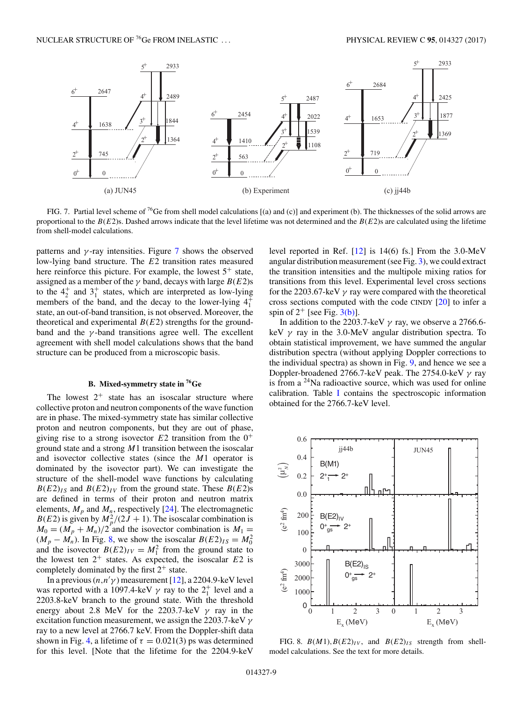<span id="page-10-0"></span>

FIG. 7. Partial level scheme of <sup>76</sup>Ge from shell model calculations [(a) and (c)] and experiment (b). The thicknesses of the solid arrows are proportional to the  $B(E2)$ s. Dashed arrows indicate that the level lifetime was not determined and the  $B(E2)$ s are calculated using the lifetime from shell-model calculations.

patterns and  $\gamma$ -ray intensities. Figure 7 shows the observed low-lying band structure. The E2 transition rates measured here reinforce this picture. For example, the lowest  $5^+$  state, assigned as a member of the  $\gamma$  band, decays with large  $B(E2)$ s to the  $4^{+}_{2}$  and  $3^{+}_{1}$  states, which are interpreted as low-lying members of the band, and the decay to the lower-lying  $4<sub>1</sub><sup>+</sup>$ state, an out-of-band transition, is not observed. Moreover, the theoretical and experimental  $B(E2)$  strengths for the groundband and the  $\gamma$ -band transitions agree well. The excellent agreement with shell model calculations shows that the band structure can be produced from a microscopic basis.

#### **B. Mixed-symmetry state in 76Ge**

The lowest  $2^+$  state has an isoscalar structure where collective proton and neutron components of the wave function are in phase. The mixed-symmetry state has similar collective proton and neutron components, but they are out of phase, giving rise to a strong isovector  $E2$  transition from the  $0^+$ ground state and a strong  $M1$  transition between the isoscalar and isovector collective states (since the M1 operator is dominated by the isovector part). We can investigate the structure of the shell-model wave functions by calculating  $B(E2)_{IS}$  and  $B(E2)_{IV}$  from the ground state. These  $B(E2)_{S}$ are defined in terms of their proton and neutron matrix elements,  $M_p$  and  $M_n$ , respectively [\[24\]](#page-12-0). The electromagnetic  $B(E2)$  is given by  $M_p^2/(2J + 1)$ . The isoscalar combination is  $M_0 = (M_p + M_n)/2$  and the isovector combination is  $M_1 =$  $(M_p - M_n)$ . In Fig. 8, we show the isoscalar  $B(E2)_{IS} = M_0^2$ and the isovector  $B(E2)_{IV} = M_1^2$  from the ground state to the lowest ten  $2^+$  states. As expected, the isoscalar  $E2$  is completely dominated by the first  $2^+$  state.

In a previous  $(n, n' \gamma)$  measurement [\[12\]](#page-12-0), a 2204.9-keV level was reported with a 1097.4-keV  $\gamma$  ray to the  $2^+_1$  level and a 2203.8-keV branch to the ground state. With the threshold energy about 2.8 MeV for the 2203.7-keV  $\gamma$  ray in the excitation function measurement, we assign the 2203.7-keV  $\gamma$ ray to a new level at 2766.7 keV. From the Doppler-shift data shown in Fig. [4,](#page-4-0) a lifetime of  $\tau = 0.021(3)$  ps was determined for this level. [Note that the lifetime for the 2204.9-keV

level reported in Ref. [\[12\]](#page-12-0) is 14(6) fs.] From the 3.0-MeV angular distribution measurement (see Fig. [3\)](#page-4-0), we could extract the transition intensities and the multipole mixing ratios for transitions from this level. Experimental level cross sections for the 2203.67-keV  $\gamma$  ray were compared with the theoretical cross sections computed with the code CINDY [\[20\]](#page-12-0) to infer a spin of  $2^+$  [see Fig.  $3(b)$ ].

In addition to the 2203.7-keV  $\gamma$  ray, we observe a 2766.6keV  $\gamma$  ray in the 3.0-MeV angular distribution spectra. To obtain statistical improvement, we have summed the angular distribution spectra (without applying Doppler corrections to the individual spectra) as shown in Fig. [9,](#page-11-0) and hence we see a Doppler-broadened 2766.7-keV peak. The 2754.0-keV  $\gamma$  ray is from a  $24$ Na radioactive source, which was used for online calibration. Table [I](#page-5-0) contains the spectroscopic information obtained for the 2766.7-keV level.



FIG. 8.  $B(M1)$ ,  $B(E2)_{IV}$ , and  $B(E2)_{IS}$  strength from shellmodel calculations. See the text for more details.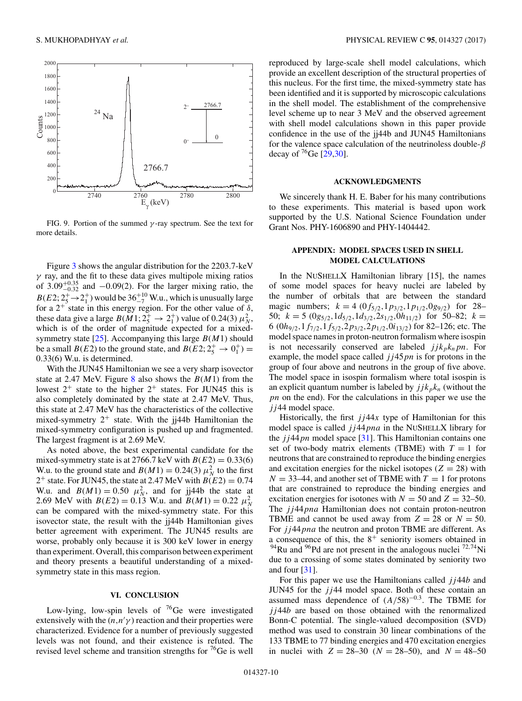<span id="page-11-0"></span>

FIG. 9. Portion of the summed  $\gamma$ -ray spectrum. See the text for more details.

Figure [3](#page-4-0) shows the angular distribution for the 2203.7-keV  $\gamma$  ray, and the fit to these data gives multipole mixing ratios of  $3.09_{-0.32}^{+0.35}$  and  $-0.09(2)$ . For the larger mixing ratio, the  $B(E2; 2^+_5 \rightarrow 2^+_1)$  would be  $36^{+10}_{-7}$  W.u., which is unusually large for a  $2^+$  state in this energy region. For the other value of  $\delta$ , these data give a large  $B(M1; 2^+_5 \rightarrow 2^+_1)$  value of 0.24(3)  $\mu_N^2$ , which is of the order of magnitude expected for a mixed-symmetry state [\[25\]](#page-12-0). Accompanying this large  $B(M1)$  should be a small  $B(E2)$  to the ground state, and  $B(E2; 2^+_5 \rightarrow 0^+_1)$  = 0.33(6) W.u. is determined.

With the JUN45 Hamiltonian we see a very sharp isovector state at 2.47 MeV. Figure [8](#page-10-0) also shows the  $B(M1)$  from the lowest  $2^+$  state to the higher  $2^+$  states. For JUN45 this is also completely dominated by the state at 2.47 MeV. Thus, this state at 2.47 MeV has the characteristics of the collective mixed-symmetry  $2^+$  state. With the ji44b Hamiltonian the mixed-symmetry configuration is pushed up and fragmented. The largest fragment is at 2.69 MeV.

As noted above, the best experimental candidate for the mixed-symmetry state is at 2766.7 keV with  $B(E2) = 0.33(6)$ W.u. to the ground state and  $B(M1) = 0.24(3) \mu_N^2$  to the first 2<sup>+</sup> state. For JUN45, the state at 2.47 MeV with  $B(E2) = 0.74$ W.u. and  $B(M1) = 0.50 \mu_N^2$ , and for jj44b the state at 2.69 MeV with  $B(E2) = 0.13$  W.u. and  $B(M1) = 0.22 \mu_N^2$ can be compared with the mixed-symmetry state. For this isovector state, the result with the jj44b Hamiltonian gives better agreement with experiment. The JUN45 results are worse, probably only because it is 300 keV lower in energy than experiment. Overall, this comparison between experiment and theory presents a beautiful understanding of a mixedsymmetry state in this mass region.

#### **VI. CONCLUSION**

Low-lying, low-spin levels of  $76$ Ge were investigated extensively with the  $(n, n' \gamma)$  reaction and their properties were characterized. Evidence for a number of previously suggested levels was not found, and their existence is refuted. The revised level scheme and transition strengths for  ${}^{76}$ Ge is well

reproduced by large-scale shell model calculations, which provide an excellent description of the structural properties of this nucleus. For the first time, the mixed-symmetry state has been identified and it is supported by microscopic calculations in the shell model. The establishment of the comprehensive level scheme up to near 3 MeV and the observed agreement with shell model calculations shown in this paper provide confidence in the use of the jj44b and JUN45 Hamiltonians for the valence space calculation of the neutrinoless double- $\beta$ decay of  ${}^{76}$ Ge [\[29,30\]](#page-12-0).

#### **ACKNOWLEDGMENTS**

We sincerely thank H. E. Baber for his many contributions to these experiments. This material is based upon work supported by the U.S. National Science Foundation under Grant Nos. PHY-1606890 and PHY-1404442.

#### **APPENDIX: MODEL SPACES USED IN SHELL MODEL CALCULATIONS**

In the NUSHELLX Hamiltonian library [15], the names of some model spaces for heavy nuclei are labeled by the number of orbitals that are between the standard magic numbers;  $k = 4 (0f_{5/2}, 1p_{3/2}, 1p_{1/2}, 0g_{9/2})$  for 28– 50;  $k = 5 \left( \frac{0g_{5/2}}{1\right) d_{5/2}, \frac{1}{d_{3/2}} \left( \frac{2s_{1/2}}{0} \right) h_{11/2}$  for 50–82;  $k =$ 6 (0 $h_{9/2}$ , 1 $f_{7/2}$ , 1 $f_{5/2}$ , 2 $p_{3/2}$ , 2 $p_{1/2}$ , 0 $i_{13/2}$ ) for 82–126; etc. The model space names in proton-neutron formalism where isospin is not necessarily conserved are labeled  $jjk_{p}k_{n}pn$ . For example, the model space called  $jj45pn$  is for protons in the group of four above and neutrons in the group of five above. The model space in isospin formalism where total isospin is an explicit quantum number is labeled by  $jjk_{p}k_{n}$  (without the pn on the end). For the calculations in this paper we use the  $j<sub>j</sub>44$  model space.

Historically, the first  $jj44x$  type of Hamiltonian for this model space is called  $jj44pna$  in the NUSHELLX library for the  $jj44pn$  model space [\[31\]](#page-12-0). This Hamiltonian contains one set of two-body matrix elements (TBME) with  $T = 1$  for neutrons that are constrained to reproduce the binding energies and excitation energies for the nickel isotopes ( $Z = 28$ ) with  $N = 33-44$ , and another set of TBME with  $T = 1$  for protons that are constrained to reproduce the binding energies and excitation energies for isotones with  $N = 50$  and  $Z = 32{\text -}50$ . The *j j*44*pna* Hamiltonian does not contain proton-neutron TBME and cannot be used away from  $Z = 28$  or  $N = 50$ . For  $jj44pna$  the neutron and proton TBME are different. As a consequence of this, the  $8^+$  seniority isomers obtained in  $94$ Ru and  $96$ Pd are not present in the analogous nuclei  $72.74$ Ni due to a crossing of some states dominated by seniority two and four  $[31]$ .

For this paper we use the Hamiltonians called  $jj44b$  and JUN45 for the  $j144$  model space. Both of these contain an assumed mass dependence of  $(A/58)^{-0.3}$ . The TBME for  $jj44b$  are based on those obtained with the renormalized Bonn-C potential. The single-valued decomposition (SVD) method was used to constrain 30 linear combinations of the 133 TBME to 77 binding energies and 470 excitation energies in nuclei with  $Z = 28-30$  ( $N = 28-50$ ), and  $N = 48-50$